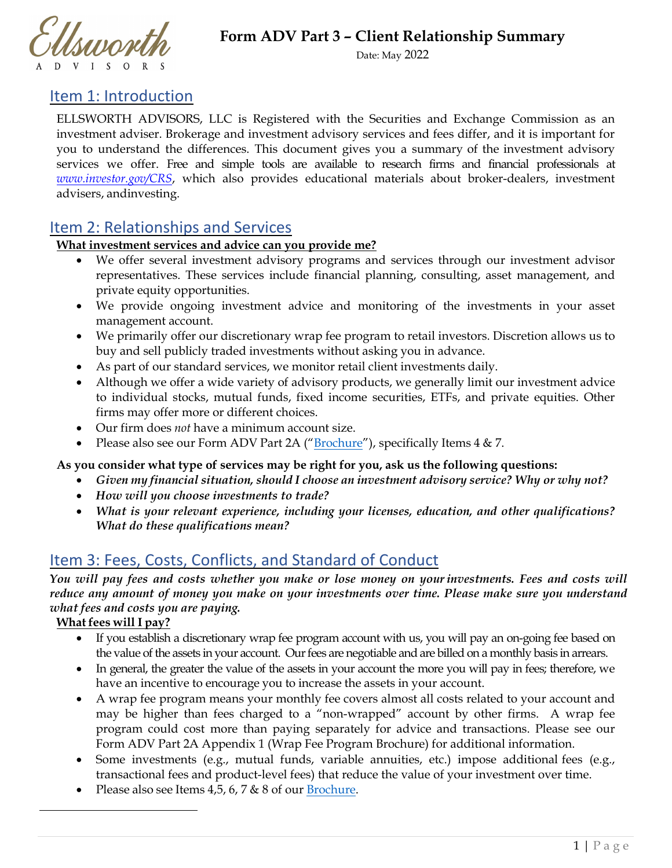



Date: May 2022

## Item 1: Introduction

ELLSWORTH ADVISORS, LLC is Registered with the Securities and Exchange Commission as an investment adviser. Brokerage and investment advisory services and fees differ, and it is important for you to understand the differences. This document gives you a summary of the investment advisory services we offer. Free and simple tools are available to research firms and financial professionals at *www.investor.gov/CRS*, which also provides educational materials about broker-dealers, investment advisers, and investing.

# Item 2: Relationships and Services

#### **What investment services and advice can you provide me?**

- We offer several investment advisory programs and services through our investment advisor representatives. These services include financial planning, consulting, asset management, and private equity opportunities.
- We provide ongoing investment advice and monitoring of the investments in your asset management account.
- We primarily offer our discretionary wrap fee program to retail investors. Discretion allows us to buy and sell publicly traded investments without asking you in advance.
- As part of our standard services, we monitor retail client investments daily.
- Although we offer a wide variety of advisory products, we generally limit our investment advice to individual stocks, mutual funds, fixed income securities, ETFs, and private equities. Other firms may offer more or different choices.
- Our firm does *not* have a minimum account size.
- Please also see our Form ADV Part 2A (["Brochure"](https://adviserinfo.sec.gov/firm/summary/297464)), specifically Items 4 & 7.

#### **As you consider what type of services may be right for you, ask us the following questions:**

- *Given my financial situation, should I choose an investment advisory service? Why or why not?*
- *How will you choose investments to trade?*
- *What is your relevant experience, including your licenses, education, and other qualifications? What do these qualifications mean?*

# Item 3: Fees, Costs, Conflicts, and Standard of Conduct

*You will pay fees and costs whether you make or lose money on yourinvestments. Fees and costs will reduce any amount of money you make on your investments over time. Please make sure you understand what fees and costs you are paying.*

#### **What fees will I pay?**

- If you establish a discretionary wrap fee program account with us, you will pay an on-going fee based on the value of the assets in your account. Our fees are negotiable and are billed on a monthly basis in arrears.
- In general, the greater the value of the assets in your account the more you will pay in fees; therefore, we have an incentive to encourage you to increase the assets in your account.
- A wrap fee program means your monthly fee covers almost all costs related to your account and may be higher than fees charged to a "non-wrapped" account by other firms. A wrap fee program could cost more than paying separately for advice and transactions. Please see our Form ADV Part 2A Appendix 1 (Wrap Fee Program Brochure) for additional information.
- Some investments (e.g., mutual funds, variable annuities, etc.) impose additional fees (e.g., transactional fees and product-level fees) that reduce the value of your investment over time.
- Please also see Items  $4, 5, 6, 7 & 8$  of our [Brochure.](https://adviserinfo.sec.gov/firm/summary/297464)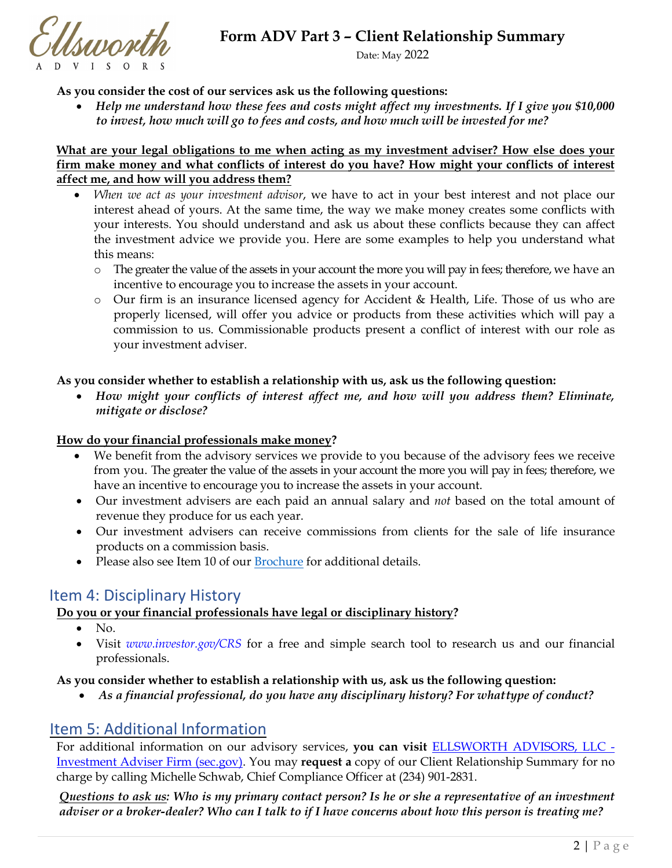**Form ADV Part 3** *–* **Client Relationship Summary**

Ellsupoeth

Date: May 2022

#### **As you consider the cost of our services ask us the following questions:**

• *Help me understand how these fees and costs might affect my investments. If I give you \$10,000 to invest, how much will go to fees and costs, and how much will be invested for me?* 

#### **What are your legal obligations to me when acting as my investment adviser? How else does your firm make money and what conflicts of interest do you have? How might your conflicts of interest affect me, and how will you address them?**

- *When we act as your investment advisor*, we have to act in your best interest and not place our interest ahead of yours. At the same time, the way we make money creates some conflicts with your interests. You should understand and ask us about these conflicts because they can affect the investment advice we provide you. Here are some examples to help you understand what this means:
	- o The greater the value of the assets in your account the more you will pay in fees; therefore, we have an incentive to encourage you to increase the assets in your account.
	- o Our firm is an insurance licensed agency for Accident & Health, Life. Those of us who are properly licensed, will offer you advice or products from these activities which will pay a commission to us. Commissionable products present a conflict of interest with our role as your investment adviser.

#### **As you consider whether to establish a relationship with us, ask us the following question:**

• *How might your conflicts of interest affect me, and how will you address them? Eliminate, mitigate or disclose?*

#### **How do your financial professionals make money?**

- We benefit from the advisory services we provide to you because of the advisory fees we receive from you. The greater the value of the assets in your account the more you will pay in fees; therefore, we have an incentive to encourage you to increase the assets in your account.
- Our investment advisers are each paid an annual salary and *not* based on the total amount of revenue they produce for us each year.
- Our investment advisers can receive commissions from clients for the sale of life insurance products on a commission basis.
- Please also see Item 10 of ou[r Brochure](https://adviserinfo.sec.gov/firm/summary/297464) for additional details.

## Item 4: Disciplinary History

## **Do you or your financial professionals have legal or disciplinary history?**

- $\bullet$  No.
- Visit *[www.investor.gov/CRS](https://www.investor.gov/CRS)* for a free and simple search tool to research us and our financial professionals.

#### **As you consider whether to establish a relationship with us, ask us the following question:**

• *As a financial professional, do you have any disciplinary history? For what type of conduct?*

## Item 5: Additional Information

For additional information on our advisory services, **you can visit** [ELLSWORTH ADVISORS, LLC -](https://adviserinfo.sec.gov/firm/summary/297464)  [Investment Adviser Firm \(sec.gov\).](https://adviserinfo.sec.gov/firm/summary/297464) You may **request a** copy of our Client Relationship Summary for no charge by calling Michelle Schwab, Chief Compliance Officer at (234) 901-2831.

*Questions to ask us: Who is my primary contact person? Is he or she a representative of an investment adviser or a broker-dealer? Who can I talk to if I have concerns about how this person is treating me?*